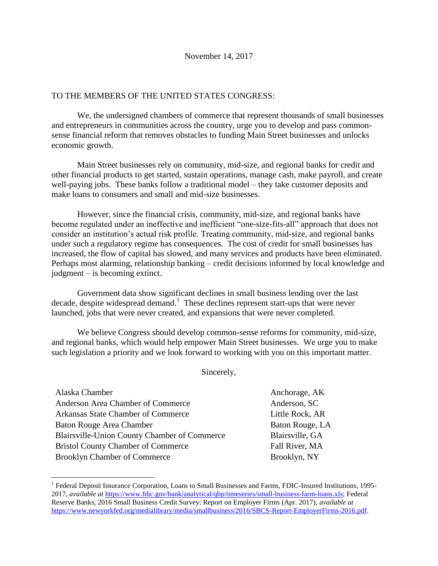## TO THE MEMBERS OF THE UNITED STATES CONGRESS:

We, the undersigned chambers of commerce that represent thousands of small businesses and entrepreneurs in communities across the country, urge you to develop and pass commonsense financial reform that removes obstacles to funding Main Street businesses and unlocks economic growth.

Main Street businesses rely on community, mid-size, and regional banks for credit and other financial products to get started, sustain operations, manage cash, make payroll, and create well-paying jobs. These banks follow a traditional model – they take customer deposits and make loans to consumers and small and mid-size businesses.

However, since the financial crisis, community, mid-size, and regional banks have become regulated under an ineffective and inefficient "one-size-fits-all" approach that does not consider an institution's actual risk profile. Treating community, mid-size, and regional banks under such a regulatory regime has consequences. The cost of credit for small businesses has increased, the flow of capital has slowed, and many services and products have been eliminated. Perhaps most alarming, relationship banking – credit decisions informed by local knowledge and judgment – is becoming extinct.

Government data show significant declines in small business lending over the last decade, despite widespread demand.<sup>1</sup> These declines represent start-ups that were never launched, jobs that were never created, and expansions that were never completed.

We believe Congress should develop common-sense reforms for community, mid-size, and regional banks, which would help empower Main Street businesses. We urge you to make such legislation a priority and we look forward to working with you on this important matter.

Sincerely,

| Alaska Chamber                                      |
|-----------------------------------------------------|
| Anderson Area Chamber of Commerce                   |
| Arkansas State Chamber of Commerce                  |
| Baton Rouge Area Chamber                            |
| <b>Blairsville-Union County Chamber of Commerce</b> |
| <b>Bristol County Chamber of Commerce</b>           |
| <b>Brooklyn Chamber of Commerce</b>                 |
|                                                     |

 $\overline{a}$ 

Anchorage, AK

Anderson, SC Little Rock, AR Baton Rouge, LA Blairsville, GA Fall River, MA Brooklyn, NY

<sup>&</sup>lt;sup>1</sup> Federal Deposit Insurance Corporation, Loans to Small Businesses and Farms, FDIC-Insured Institutions, 1995-2017, *available at* [https://www.fdic.gov/bank/analytical/qbp/timeseries/small-business-farm-loans.xls;](https://www.fdic.gov/bank/analytical/qbp/timeseries/small-business-farm-loans.xls) Federal Reserve Banks, 2016 Small Business Credit Survey: Report on Employer Firms (Apr. 2017), *available at* [https://www.newyorkfed.org/medialibrary/media/smallbusiness/2016/SBCS-Report-EmployerFirms-2016.pdf.](https://www.newyorkfed.org/medialibrary/media/smallbusiness/2016/SBCS-Report-EmployerFirms-2016.pdf)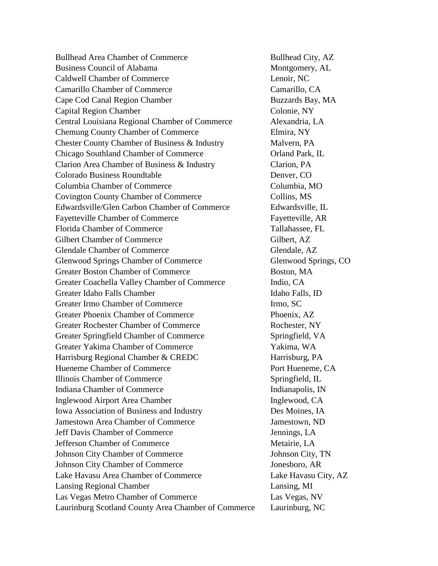Bullhead Area Chamber of Commerce Bullhead City, AZ Business Council of Alabama Montgomery, AL Caldwell Chamber of Commerce Lenoir, NC Camarillo Chamber of Commerce Camarillo, CA Cape Cod Canal Region Chamber **Buzzards Bay, MA** Capital Region Chamber Colonie, NY Central Louisiana Regional Chamber of Commerce Alexandria, LA Chemung County Chamber of Commerce Elmira, NY Chester County Chamber of Business & Industry Malvern, PA Chicago Southland Chamber of Commerce Orland Park, IL Clarion Area Chamber of Business & Industry Clarion, PA Colorado Business Roundtable Denver, CO Columbia Chamber of Commerce Columbia, MO Covington County Chamber of Commerce Collins, MS Edwardsville/Glen Carbon Chamber of Commerce Edwardsville, IL Fayetteville Chamber of Commerce Fayetteville, AR Florida Chamber of Commerce Tallahassee, FL Gilbert Chamber of Commerce Gilbert, AZ Glendale Chamber of Commerce Glendale, AZ Glenwood Springs Chamber of Commerce Glenwood Springs, CO Greater Boston Chamber of Commerce Boston, MA Greater Coachella Valley Chamber of Commerce Indio, CA Greater Idaho Falls Chamber **Idaho Falls**, ID Greater Irmo Chamber of Commerce Irmo, SC Greater Phoenix Chamber of Commerce Phoenix, AZ Greater Rochester Chamber of Commerce Rochester, NY Greater Springfield Chamber of Commerce Springfield, VA Greater Yakima Chamber of Commerce Yakima, WA Harrisburg Regional Chamber & CREDC Harrisburg, PA Hueneme Chamber of Commerce Port Hueneme, CA Illinois Chamber of Commerce Springfield, IL Indiana Chamber of Commerce The Indianapolis, IN Inglewood Airport Area Chamber Inglewood, CA Iowa Association of Business and Industry Des Moines, IA Jamestown Area Chamber of Commerce Jamestown, ND Jeff Davis Chamber of Commerce Jennings, LA Jefferson Chamber of Commerce Metairie, LA Johnson City Chamber of Commerce Johnson City, TN Johnson City Chamber of Commerce Jonesboro, AR Lake Havasu Area Chamber of Commerce Lake Havasu City, AZ Lansing Regional Chamber Lansing, MI Las Vegas Metro Chamber of Commerce Las Vegas, NV Laurinburg Scotland County Area Chamber of Commerce Laurinburg, NC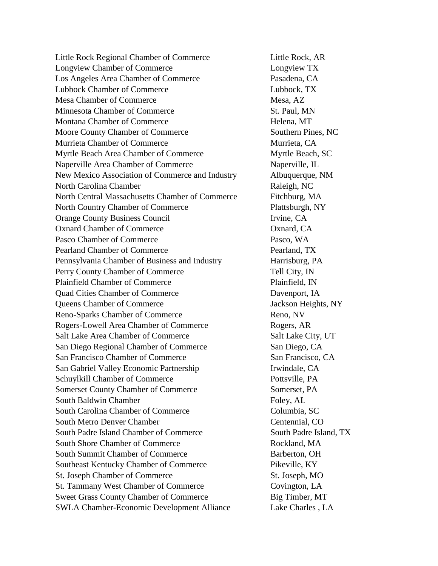Little Rock Regional Chamber of Commerce Little Rock, AR Longview Chamber of Commerce Longview TX Los Angeles Area Chamber of Commerce Pasadena, CA Lubbock Chamber of Commerce Lubbock, TX Mesa Chamber of Commerce Mesa, AZ Minnesota Chamber of Commerce St. Paul, MN Montana Chamber of Commerce Helena, MT Moore County Chamber of Commerce Southern Pines, NC Murrieta Chamber of Commerce Murrieta, CA Myrtle Beach Area Chamber of Commerce Myrtle Beach, SC Naperville Area Chamber of Commerce Naperville, IL New Mexico Association of Commerce and Industry Albuquerque, NM North Carolina Chamber Raleigh, NC North Central Massachusetts Chamber of Commerce Fitchburg, MA North Country Chamber of Commerce Plattsburgh, NY Orange County Business Council Irvine, CA Oxnard Chamber of Commerce **Oxnard, CA** Pasco Chamber of Commerce Pasco, WA Pearland Chamber of Commerce Pearland, TX Pennsylvania Chamber of Business and Industry Harrisburg, PA Perry County Chamber of Commerce Tell City, IN Plainfield Chamber of Commerce Plainfield, IN Quad Cities Chamber of Commerce Davenport, IA Queens Chamber of Commerce Jackson Heights, NY Reno-Sparks Chamber of Commerce Reno, NV Rogers-Lowell Area Chamber of Commerce Rogers, AR Salt Lake Area Chamber of Commerce Salt Lake City, UT San Diego Regional Chamber of Commerce San Diego, CA San Francisco Chamber of Commerce San Francisco, CA San Gabriel Valley Economic Partnership Irwindale, CA Schuylkill Chamber of Commerce Pottsville, PA Somerset County Chamber of Commerce Somerset, PA South Baldwin Chamber Foley, AL South Carolina Chamber of Commerce Columbia, SC South Metro Denver Chamber Centennial, CO South Padre Island Chamber of Commerce South Padre Island, TX South Shore Chamber of Commerce Rockland, MA South Summit Chamber of Commerce Barberton, OH Southeast Kentucky Chamber of Commerce Pikeville, KY St. Joseph Chamber of Commerce St. Joseph, MO St. Tammany West Chamber of Commerce Covington, LA Sweet Grass County Chamber of Commerce Big Timber, MT SWLA Chamber-Economic Development Alliance Lake Charles , LA